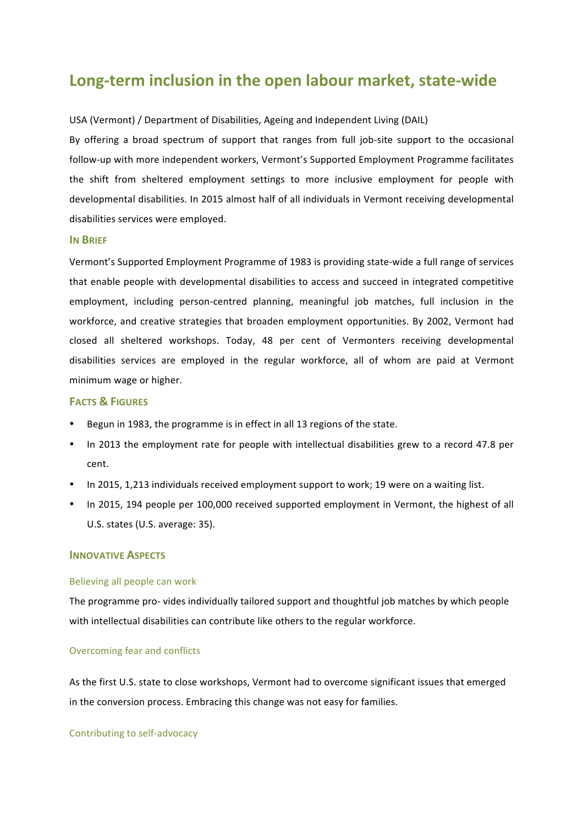# **Long-term inclusion in the open labour market, state-wide**

## USA (Vermont) / Department of Disabilities, Ageing and Independent Living (DAIL)

By offering a broad spectrum of support that ranges from full job-site support to the occasional follow-up with more independent workers, Vermont's Supported Employment Programme facilitates the shift from sheltered employment settings to more inclusive employment for people with developmental disabilities. In 2015 almost half of all individuals in Vermont receiving developmental disabilities services were employed.

## **IN BRIEF**

Vermont's Supported Employment Programme of 1983 is providing state-wide a full range of services that enable people with developmental disabilities to access and succeed in integrated competitive employment, including person-centred planning, meaningful job matches, full inclusion in the workforce, and creative strategies that broaden employment opportunities. By 2002, Vermont had closed all sheltered workshops. Today, 48 per cent of Vermonters receiving developmental disabilities services are employed in the regular workforce, all of whom are paid at Vermont minimum wage or higher.

## **FACTS & FIGURES**

- Begun in 1983, the programme is in effect in all 13 regions of the state.
- In 2013 the employment rate for people with intellectual disabilities grew to a record 47.8 per cent.
- In 2015, 1,213 individuals received employment support to work; 19 were on a waiting list.
- In 2015, 194 people per 100,000 received supported employment in Vermont, the highest of all U.S. states (U.S. average: 35).

#### **INNOVATIVE ASPECTS**

#### Believing all people can work

The programme pro- vides individually tailored support and thoughtful job matches by which people with intellectual disabilities can contribute like others to the regular workforce.

#### Overcoming fear and conflicts

As the first U.S. state to close workshops, Vermont had to overcome significant issues that emerged in the conversion process. Embracing this change was not easy for families.

Contributing to self-advocacy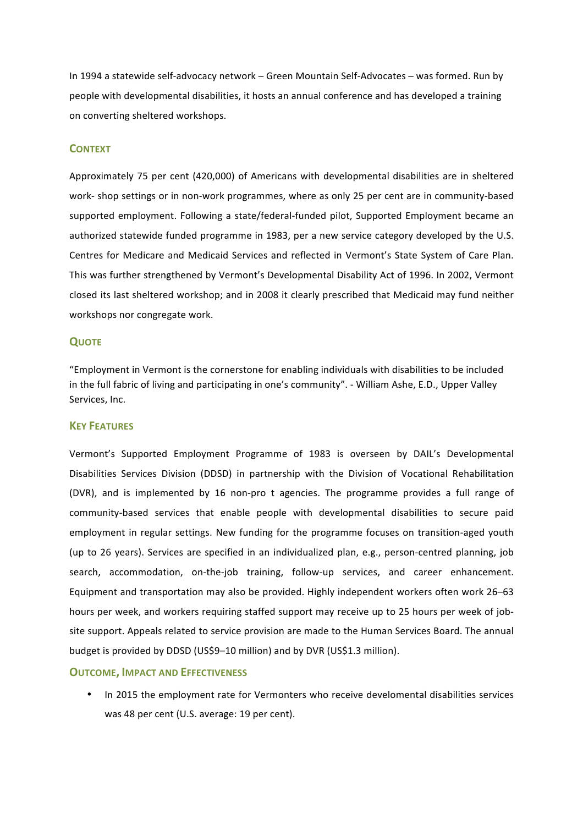In 1994 a statewide self-advocacy network – Green Mountain Self-Advocates – was formed. Run by people with developmental disabilities, it hosts an annual conference and has developed a training on converting sheltered workshops.

## **CONTEXT**

Approximately 75 per cent (420,000) of Americans with developmental disabilities are in sheltered work- shop settings or in non-work programmes, where as only 25 per cent are in community-based supported employment. Following a state/federal-funded pilot, Supported Employment became an authorized statewide funded programme in 1983, per a new service category developed by the U.S. Centres for Medicare and Medicaid Services and reflected in Vermont's State System of Care Plan. This was further strengthened by Vermont's Developmental Disability Act of 1996. In 2002, Vermont closed its last sheltered workshop; and in 2008 it clearly prescribed that Medicaid may fund neither workshops nor congregate work.

#### **QUOTE**

"Employment in Vermont is the cornerstone for enabling individuals with disabilities to be included in the full fabric of living and participating in one's community". - William Ashe, E.D., Upper Valley Services, Inc.

#### **KEY FEATURES**

Vermont's Supported Employment Programme of 1983 is overseen by DAIL's Developmental Disabilities Services Division (DDSD) in partnership with the Division of Vocational Rehabilitation (DVR), and is implemented by 16 non-pro t agencies. The programme provides a full range of community-based services that enable people with developmental disabilities to secure paid employment in regular settings. New funding for the programme focuses on transition-aged youth (up to 26 years). Services are specified in an individualized plan, e.g., person-centred planning, job search, accommodation, on-the-job training, follow-up services, and career enhancement. Equipment and transportation may also be provided. Highly independent workers often work 26–63 hours per week, and workers requiring staffed support may receive up to 25 hours per week of jobsite support. Appeals related to service provision are made to the Human Services Board. The annual budget is provided by DDSD (US\$9–10 million) and by DVR (US\$1.3 million).

#### **OUTCOME, IMPACT AND EFFECTIVENESS**

• In 2015 the employment rate for Vermonters who receive develomental disabilities services was 48 per cent (U.S. average: 19 per cent).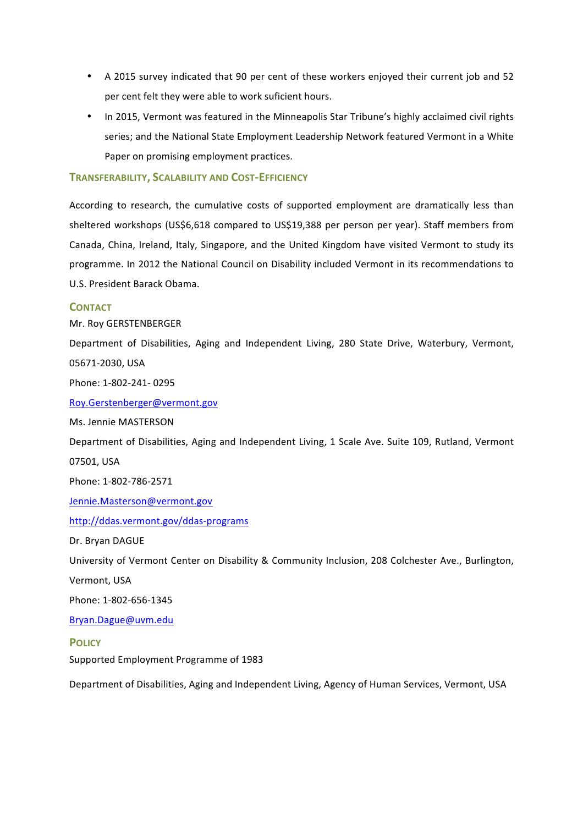- A 2015 survey indicated that 90 per cent of these workers enjoyed their current job and 52 per cent felt they were able to work suficient hours.
- In 2015, Vermont was featured in the Minneapolis Star Tribune's highly acclaimed civil rights series; and the National State Employment Leadership Network featured Vermont in a White Paper on promising employment practices.

## **TRANSFERABILITY, SCALABILITY AND COST-EFFICIENCY**

According to research, the cumulative costs of supported employment are dramatically less than sheltered workshops (US\$6,618 compared to US\$19,388 per person per year). Staff members from Canada, China, Ireland, Italy, Singapore, and the United Kingdom have visited Vermont to study its programme. In 2012 the National Council on Disability included Vermont in its recommendations to U.S. President Barack Obama.

## **CONTACT**

Mr. Roy GERSTENBERGER

Department of Disabilities, Aging and Independent Living, 280 State Drive, Waterbury, Vermont, 05671-2030, USA

Phone: 1-802-241- 0295

Roy.Gerstenberger@vermont.gov

Ms. Jennie MASTERSON

Department of Disabilities, Aging and Independent Living, 1 Scale Ave. Suite 109, Rutland, Vermont 07501, USA

Phone: 1-802-786-2571

Jennie.Masterson@vermont.gov

## http://ddas.vermont.gov/ddas-programs

Dr. Bryan DAGUE

University of Vermont Center on Disability & Community Inclusion, 208 Colchester Ave., Burlington,

Vermont, USA

Phone: 1-802-656-1345

Bryan.Dague@uvm.edu

#### **POLICY**

Supported Employment Programme of 1983

Department of Disabilities, Aging and Independent Living, Agency of Human Services, Vermont, USA